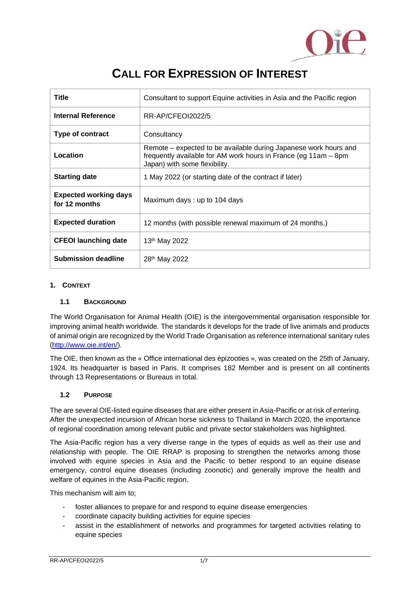

## **CALL FOR EXPRESSION OF INTEREST**

| <b>Title</b>                                  | Consultant to support Equine activities in Asia and the Pacific region                                                                                               |
|-----------------------------------------------|----------------------------------------------------------------------------------------------------------------------------------------------------------------------|
| <b>Internal Reference</b>                     | RR-AP/CFEOI2022/5                                                                                                                                                    |
| Type of contract                              | Consultancy                                                                                                                                                          |
| Location                                      | Remote – expected to be available during Japanese work hours and<br>frequently available for AM work hours in France (eg 11am – 8pm<br>Japan) with some flexibility. |
| <b>Starting date</b>                          | 1 May 2022 (or starting date of the contract if later)                                                                                                               |
| <b>Expected working days</b><br>for 12 months | Maximum days: up to 104 days                                                                                                                                         |
| <b>Expected duration</b>                      | 12 months (with possible renewal maximum of 24 months.)                                                                                                              |
| <b>CFEOI launching date</b>                   | 13th May 2022                                                                                                                                                        |
| <b>Submission deadline</b>                    | 28 <sup>th</sup> May 2022                                                                                                                                            |

## **1. CONTEXT**

## **1.1 BACKGROUND**

The World Organisation for Animal Health (OIE) is the intergovernmental organisation responsible for improving animal health worldwide. The standards it develops for the trade of live animals and products of animal origin are recognized by the World Trade Organisation as reference international sanitary rules [\(http://www.oie.int/en/\)](http://www.oie.int/en/).

The OIE, then known as the « Office international des épizooties », was created on the 25th of January, 1924. Its headquarter is based in Paris. It comprises 182 Member and is present on all continents through 13 Representations or Bureaus in total.

#### **1.2 PURPOSE**

The are several OIE-listed equine diseases that are either present in Asia-Pacific or at risk of entering. After the unexpected incursion of African horse sickness to Thailand in March 2020, the importance of regional coordination among relevant public and private sector stakeholders was highlighted.

The Asia-Pacific region has a very diverse range in the types of equids as well as their use and relationship with people. The OIE RRAP is proposing to strengthen the networks among those involved with equine species in Asia and the Pacific to better respond to an equine disease emergency, control equine diseases (including zoonotic) and generally improve the health and welfare of equines in the Asia-Pacific region.

This mechanism will aim to;

- foster alliances to prepare for and respond to equine disease emergencies
- coordinate capacity building activities for equine species
- assist in the establishment of networks and programmes for targeted activities relating to equine species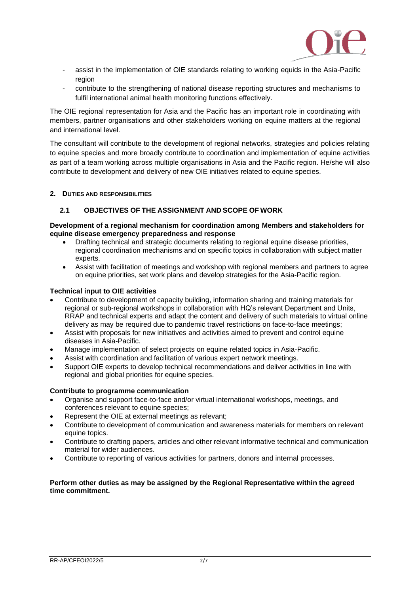

- assist in the implementation of OIE standards relating to working equids in the Asia-Pacific region
- contribute to the strengthening of national disease reporting structures and mechanisms to fulfil international animal health monitoring functions effectively.

The OIE regional representation for Asia and the Pacific has an important role in coordinating with members, partner organisations and other stakeholders working on equine matters at the regional and international level.

The consultant will contribute to the development of regional networks, strategies and policies relating to equine species and more broadly contribute to coordination and implementation of equine activities as part of a team working across multiple organisations in Asia and the Pacific region. He/she will also contribute to development and delivery of new OIE initiatives related to equine species.

#### **2. DUTIES AND RESPONSIBILITIES**

#### **2.1 OBJECTIVES OF THE ASSIGNMENT AND SCOPE OF WORK**

#### **Development of a regional mechanism for coordination among Members and stakeholders for equine disease emergency preparedness and response**

- Drafting technical and strategic documents relating to regional equine disease priorities, regional coordination mechanisms and on specific topics in collaboration with subject matter experts.
- Assist with facilitation of meetings and workshop with regional members and partners to agree on equine priorities, set work plans and develop strategies for the Asia-Pacific region.

#### **Technical input to OIE activities**

- Contribute to development of capacity building, information sharing and training materials for regional or sub-regional workshops in collaboration with HQ's relevant Department and Units, RRAP and technical experts and adapt the content and delivery of such materials to virtual online delivery as may be required due to pandemic travel restrictions on face-to-face meetings;
- Assist with proposals for new initiatives and activities aimed to prevent and control equine diseases in Asia-Pacific.
- Manage implementation of select projects on equine related topics in Asia-Pacific.
- Assist with coordination and facilitation of various expert network meetings.
- Support OIE experts to develop technical recommendations and deliver activities in line with regional and global priorities for equine species.

#### **Contribute to programme communication**

- Organise and support face-to-face and/or virtual international workshops, meetings, and conferences relevant to equine species;
- Represent the OIE at external meetings as relevant;
- Contribute to development of communication and awareness materials for members on relevant equine topics.
- Contribute to drafting papers, articles and other relevant informative technical and communication material for wider audiences.
- Contribute to reporting of various activities for partners, donors and internal processes.

#### **Perform other duties as may be assigned by the Regional Representative within the agreed time commitment.**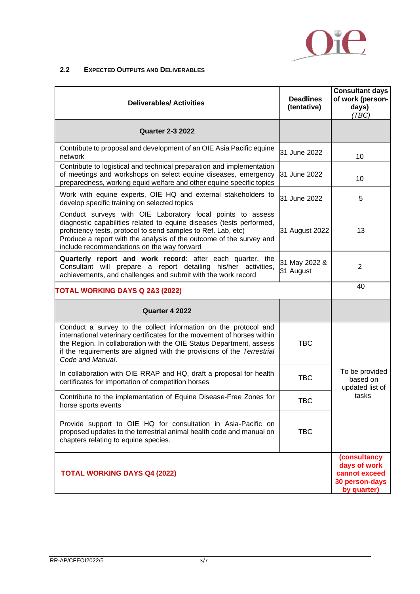

## **2.2 EXPECTED OUTPUTS AND DELIVERABLES**

| <b>Deliverables/ Activities</b>                                                                                                                                                                                                                                                                                          | <b>Deadlines</b><br>(tentative) | <b>Consultant days</b><br>of work (person-<br>days)<br>(TBC)                   |  |
|--------------------------------------------------------------------------------------------------------------------------------------------------------------------------------------------------------------------------------------------------------------------------------------------------------------------------|---------------------------------|--------------------------------------------------------------------------------|--|
| <b>Quarter 2-3 2022</b>                                                                                                                                                                                                                                                                                                  |                                 |                                                                                |  |
| Contribute to proposal and development of an OIE Asia Pacific equine<br>network                                                                                                                                                                                                                                          | 31 June 2022                    | 10                                                                             |  |
| Contribute to logistical and technical preparation and implementation<br>of meetings and workshops on select equine diseases, emergency<br>preparedness, working equid welfare and other equine specific topics                                                                                                          | 31 June 2022                    | 10                                                                             |  |
| Work with equine experts, OIE HQ and external stakeholders to<br>develop specific training on selected topics                                                                                                                                                                                                            | 31 June 2022                    | 5                                                                              |  |
| Conduct surveys with OIE Laboratory focal points to assess<br>diagnostic capabilities related to equine diseases (tests performed,<br>proficiency tests, protocol to send samples to Ref. Lab, etc)<br>Produce a report with the analysis of the outcome of the survey and<br>include recommendations on the way forward | 31 August 2022                  | 13                                                                             |  |
| Quarterly report and work record: after each quarter, the<br>Consultant will prepare a report detailing his/her activities,<br>achievements, and challenges and submit with the work record                                                                                                                              | 31 May 2022 &<br>31 August      | $\overline{2}$                                                                 |  |
| <b>TOTAL WORKING DAYS Q 2&amp;3 (2022)</b>                                                                                                                                                                                                                                                                               | 40                              |                                                                                |  |
| Quarter 4 2022                                                                                                                                                                                                                                                                                                           |                                 |                                                                                |  |
| Conduct a survey to the collect information on the protocol and<br>international veterinary certificates for the movement of horses within<br>the Region. In collaboration with the OIE Status Department, assess<br>if the requirements are aligned with the provisions of the Terrestrial<br>Code and Manual.          | <b>TBC</b>                      |                                                                                |  |
| In collaboration with OIE RRAP and HQ, draft a proposal for health<br>certificates for importation of competition horses                                                                                                                                                                                                 | <b>TBC</b>                      | To be provided<br>based on<br>updated list of<br>tasks                         |  |
| Contribute to the implementation of Equine Disease-Free Zones for<br>horse sports events                                                                                                                                                                                                                                 | TBC                             |                                                                                |  |
| Provide support to OIE HQ for consultation in Asia-Pacific on<br>proposed updates to the terrestrial animal health code and manual on<br>chapters relating to equine species.                                                                                                                                            | <b>TBC</b>                      |                                                                                |  |
| <b>TOTAL WORKING DAYS Q4 (2022)</b>                                                                                                                                                                                                                                                                                      |                                 | (consultancy<br>days of work<br>cannot exceed<br>30 person-days<br>by quarter) |  |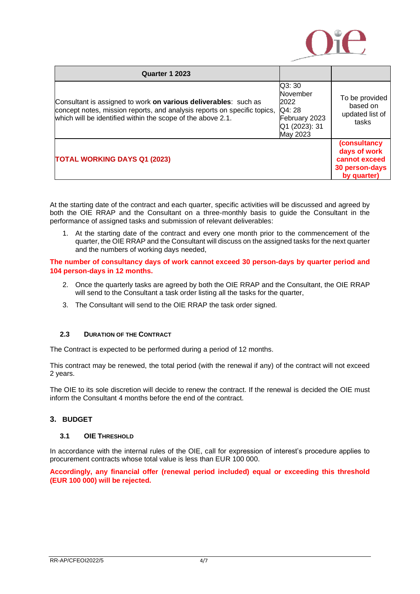

| Quarter 1 2023                                                                                                                                                                                             |                                                                                   |                                                                                |
|------------------------------------------------------------------------------------------------------------------------------------------------------------------------------------------------------------|-----------------------------------------------------------------------------------|--------------------------------------------------------------------------------|
| Consultant is assigned to work on various deliverables: such as<br>concept notes, mission reports, and analysis reports on specific topics,<br>which will be identified within the scope of the above 2.1. | Q3: 30<br>November<br>2022<br>Q4:28<br>February 2023<br>Q1 (2023): 31<br>May 2023 | To be provided<br>based on<br>updated list of<br>tasks                         |
| <b>TOTAL WORKING DAYS Q1 (2023)</b>                                                                                                                                                                        |                                                                                   | (consultancy<br>days of work<br>cannot exceed<br>30 person-days<br>by quarter) |

At the starting date of the contract and each quarter, specific activities will be discussed and agreed by both the OIE RRAP and the Consultant on a three-monthly basis to guide the Consultant in the performance of assigned tasks and submission of relevant deliverables:

1. At the starting date of the contract and every one month prior to the commencement of the quarter, the OIE RRAP and the Consultant will discuss on the assigned tasks for the next quarter and the numbers of working days needed,

#### **The number of consultancy days of work cannot exceed 30 person-days by quarter period and 104 person-days in 12 months.**

- 2. Once the quarterly tasks are agreed by both the OIE RRAP and the Consultant, the OIE RRAP will send to the Consultant a task order listing all the tasks for the quarter,
- 3. The Consultant will send to the OIE RRAP the task order signed.

#### **2.3 DURATION OF THE CONTRACT**

The Contract is expected to be performed during a period of 12 months.

This contract may be renewed, the total period (with the renewal if any) of the contract will not exceed 2 years.

The OIE to its sole discretion will decide to renew the contract. If the renewal is decided the OIE must inform the Consultant 4 months before the end of the contract.

## **3. BUDGET**

#### **3.1 OIE THRESHOLD**

In accordance with the internal rules of the OIE, call for expression of interest's procedure applies to procurement contracts whose total value is less than EUR 100 000.

**Accordingly, any financial offer (renewal period included) equal or exceeding this threshold (EUR 100 000) will be rejected.**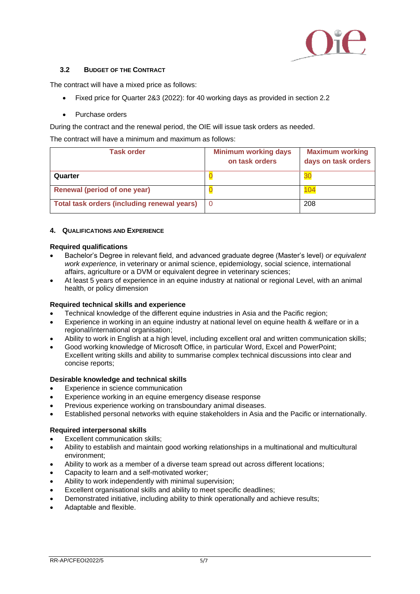

## **3.2 BUDGET OF THE CONTRACT**

The contract will have a mixed price as follows:

- Fixed price for Quarter 2&3 (2022): for 40 working days as provided in section 2.2
- Purchase orders

During the contract and the renewal period, the OIE will issue task orders as needed.

The contract will have a minimum and maximum as follows:

| <b>Task order</b>                           | <b>Minimum working days</b><br>on task orders | <b>Maximum working</b><br>days on task orders |
|---------------------------------------------|-----------------------------------------------|-----------------------------------------------|
| Quarter                                     |                                               | 30                                            |
| Renewal (period of one year)                |                                               | 04                                            |
| Total task orders (including renewal years) |                                               | 208                                           |

#### **4. QUALIFICATIONS AND EXPERIENCE**

#### **Required qualifications**

- Bachelor's Degree in relevant field, and advanced graduate degree (Master's level) *or equivalent work experience,* in veterinary or animal science, epidemiology, social science, international affairs, agriculture or a DVM or equivalent degree in veterinary sciences;
- At least 5 years of experience in an equine industry at national or regional Level, with an animal health, or policy dimension

#### **Required technical skills and experience**

- Technical knowledge of the different equine industries in Asia and the Pacific region;
- Experience in working in an equine industry at national level on equine health & welfare or in a regional/international organisation;
- Ability to work in English at a high level, including excellent oral and written communication skills;
- Good working knowledge of Microsoft Office, in particular Word, Excel and PowerPoint; Excellent writing skills and ability to summarise complex technical discussions into clear and concise reports;

#### **Desirable knowledge and technical skills**

- Experience in science communication
- Experience working in an equine emergency disease response
- Previous experience working on transboundary animal diseases.
- Established personal networks with equine stakeholders in Asia and the Pacific or internationally.

#### **Required interpersonal skills**

- Excellent communication skills;
- Ability to establish and maintain good working relationships in a multinational and multicultural environment;
- Ability to work as a member of a diverse team spread out across different locations;
- Capacity to learn and a self-motivated worker;
- Ability to work independently with minimal supervision;
- Excellent organisational skills and ability to meet specific deadlines;
- Demonstrated initiative, including ability to think operationally and achieve results;
- Adaptable and flexible.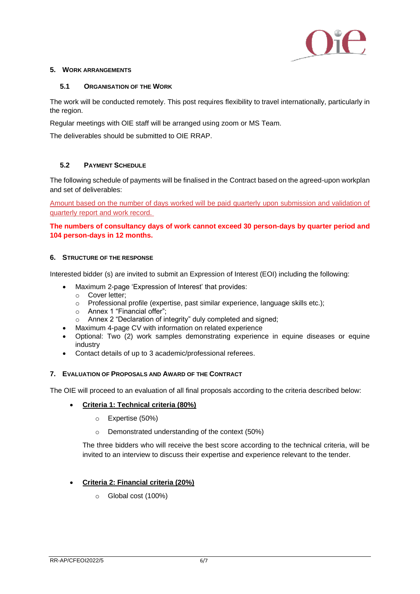

#### **5. WORK ARRANGEMENTS**

#### **5.1 ORGANISATION OF THE WORK**

The work will be conducted remotely. This post requires flexibility to travel internationally, particularly in the region.

Regular meetings with OIE staff will be arranged using zoom or MS Team.

The deliverables should be submitted to OIE RRAP.

## **5.2 PAYMENT SCHEDULE**

The following schedule of payments will be finalised in the Contract based on the agreed-upon workplan and set of deliverables:

Amount based on the number of days worked will be paid quarterly upon submission and validation of quarterly report and work record.

**The numbers of consultancy days of work cannot exceed 30 person-days by quarter period and 104 person-days in 12 months.**

#### **6. STRUCTURE OF THE RESPONSE**

Interested bidder (s) are invited to submit an Expression of Interest (EOI) including the following:

- Maximum 2-page 'Expression of Interest' that provides:
	- o Cover letter;
	- o Professional profile (expertise, past similar experience, language skills etc.);
	- o Annex 1 "Financial offer";
	- o Annex 2 "Declaration of integrity" duly completed and signed;
- Maximum 4-page CV with information on related experience
- Optional: Two (2) work samples demonstrating experience in equine diseases or equine industry
- Contact details of up to 3 academic/professional referees.

#### **7. EVALUATION OF PROPOSALS AND AWARD OF THE CONTRACT**

The OIE will proceed to an evaluation of all final proposals according to the criteria described below:

- **Criteria 1: Technical criteria (80%)**
	- o Expertise (50%)
	- o Demonstrated understanding of the context (50%)

The three bidders who will receive the best score according to the technical criteria, will be invited to an interview to discuss their expertise and experience relevant to the tender.

#### • **Criteria 2: Financial criteria (20%)**

o Global cost (100%)